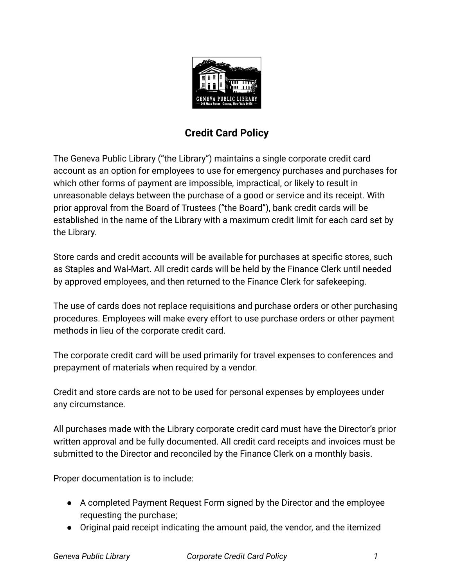

## **Credit Card Policy**

The Geneva Public Library ("the Library") maintains a single corporate credit card account as an option for employees to use for emergency purchases and purchases for which other forms of payment are impossible, impractical, or likely to result in unreasonable delays between the purchase of a good or service and its receipt. With prior approval from the Board of Trustees ("the Board"), bank credit cards will be established in the name of the Library with a maximum credit limit for each card set by the Library.

Store cards and credit accounts will be available for purchases at specific stores, such as Staples and Wal-Mart. All credit cards will be held by the Finance Clerk until needed by approved employees, and then returned to the Finance Clerk for safekeeping.

The use of cards does not replace requisitions and purchase orders or other purchasing procedures. Employees will make every effort to use purchase orders or other payment methods in lieu of the corporate credit card.

The corporate credit card will be used primarily for travel expenses to conferences and prepayment of materials when required by a vendor.

Credit and store cards are not to be used for personal expenses by employees under any circumstance.

All purchases made with the Library corporate credit card must have the Director's prior written approval and be fully documented. All credit card receipts and invoices must be submitted to the Director and reconciled by the Finance Clerk on a monthly basis.

Proper documentation is to include:

- A completed Payment Request Form signed by the Director and the employee requesting the purchase;
- Original paid receipt indicating the amount paid, the vendor, and the itemized